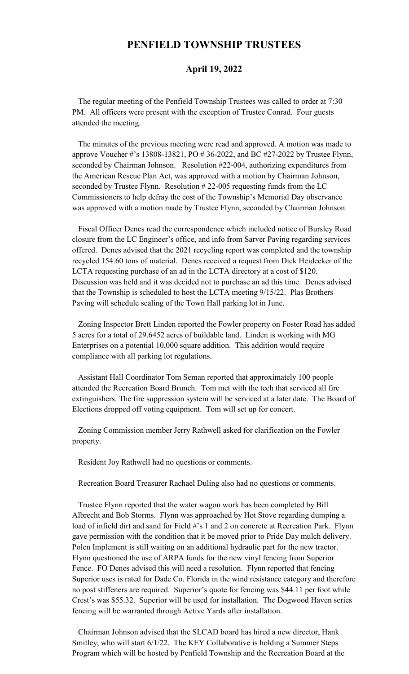## **PENFIELD TOWNSHIP TRUSTEES**

## **April 19, 2022**

 The regular meeting of the Penfield Township Trustees was called to order at 7:30 PM. All officers were present with the exception of Trustee Conrad. Four guests attended the meeting.

 The minutes of the previous meeting were read and approved. A motion was made to approve Voucher #'s 13808-13821, PO # 36-2022, and BC #27-2022 by Trustee Flynn, seconded by Chairman Johnson. Resolution #22-004, authorizing expenditures from the American Rescue Plan Act, was approved with a motion by Chairman Johnson, seconded by Trustee Flynn. Resolution # 22-005 requesting funds from the LC Commissioners to help defray the cost of the Township's Memorial Day observance was approved with a motion made by Trustee Flynn, seconded by Chairman Johnson.

 Fiscal Officer Denes read the correspondence which included notice of Bursley Road closure from the LC Engineer's office, and info from Sarver Paving regarding services offered. Denes advised that the 2021 recycling report was completed and the township recycled 154.60 tons of material. Denes received a request from Dick Heidecker of the LCTA requesting purchase of an ad in the LCTA directory at a cost of \$120. Discussion was held and it was decided not to purchase an ad this time. Denes advised that the Township is scheduled to host the LCTA meeting 9/15/22. Plas Brothers Paving will schedule sealing of the Town Hall parking lot in June.

 Zoning Inspector Brett Linden reported the Fowler property on Foster Road has added 5 acres for a total of 29.6452 acres of buildable land. Linden is working with MG Enterprises on a potential 10,000 square addition. This addition would require compliance with all parking lot regulations.

 Assistant Hall Coordinator Tom Seman reported that approximately 100 people attended the Recreation Board Brunch. Tom met with the tech that serviced all fire extinguishers. The fire suppression system will be serviced at a later date. The Board of Elections dropped off voting equipment. Tom will set up for concert.

 Zoning Commission member Jerry Rathwell asked for clarification on the Fowler property.

Resident Joy Rathwell had no questions or comments.

Recreation Board Treasurer Rachael Duling also had no questions or comments.

 Trustee Flynn reported that the water wagon work has been completed by Bill Albrecht and Bob Storms. Flynn was approached by Hot Stove regarding dumping a load of infield dirt and sand for Field #'s 1 and 2 on concrete at Recreation Park. Flynn gave permission with the condition that it be moved prior to Pride Day mulch delivery. Polen Implement is still waiting on an additional hydraulic part for the new tractor. Flynn questioned the use of ARPA funds for the new vinyl fencing from Superior Fence. FO Denes advised this will need a resolution. Flynn reported that fencing Superior uses is rated for Dade Co. Florida in the wind resistance category and therefore no post stiffeners are required. Superior's quote for fencing was \$44.11 per foot while Crest's was \$55.32. Superior will be used for installation. The Dogwood Haven series fencing will be warranted through Active Yards after installation.

 Chairman Johnson advised that the SLCAD board has hired a new director, Hank Smitley, who will start 6/1/22. The KEY Collaborative is holding a Summer Steps Program which will be hosted by Penfield Township and the Recreation Board at the